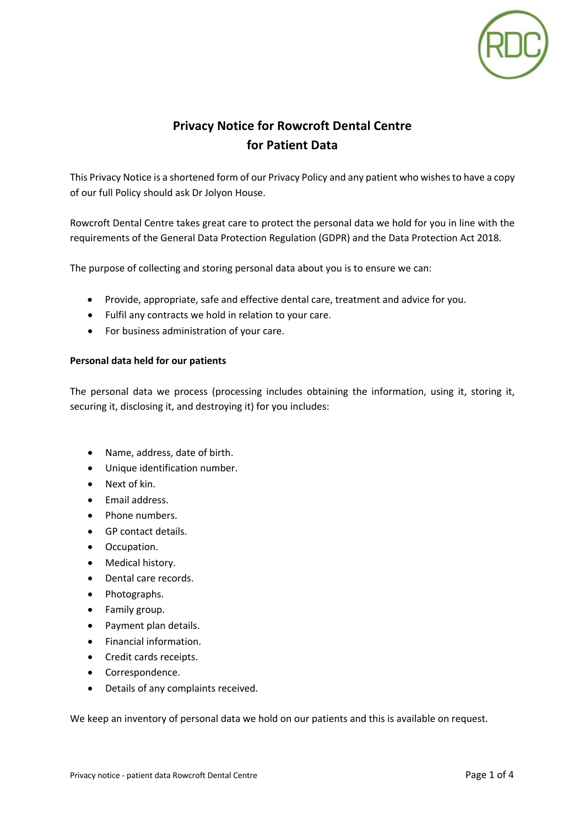

# **Privacy Notice for Rowcroft Dental Centre for Patient Data**

This Privacy Notice is a shortened form of our Privacy Policy and any patient who wishes to have a copy of our full Policy should ask Dr Jolyon House.

Rowcroft Dental Centre takes great care to protect the personal data we hold for you in line with the requirements of the General Data Protection Regulation (GDPR) and the Data Protection Act 2018.

The purpose of collecting and storing personal data about you is to ensure we can:

- Provide, appropriate, safe and effective dental care, treatment and advice for you.
- Fulfil any contracts we hold in relation to your care.
- For business administration of your care.

### **Personal data held for our patients**

The personal data we process (processing includes obtaining the information, using it, storing it, securing it, disclosing it, and destroying it) for you includes:

- Name, address, date of birth.
- Unique identification number.
- Next of kin.
- Email address.
- Phone numbers.
- GP contact details.
- Occupation.
- Medical history.
- Dental care records.
- Photographs.
- Family group.
- Payment plan details.
- Financial information.
- Credit cards receipts.
- Correspondence.
- Details of any complaints received.

We keep an inventory of personal data we hold on our patients and this is available on request.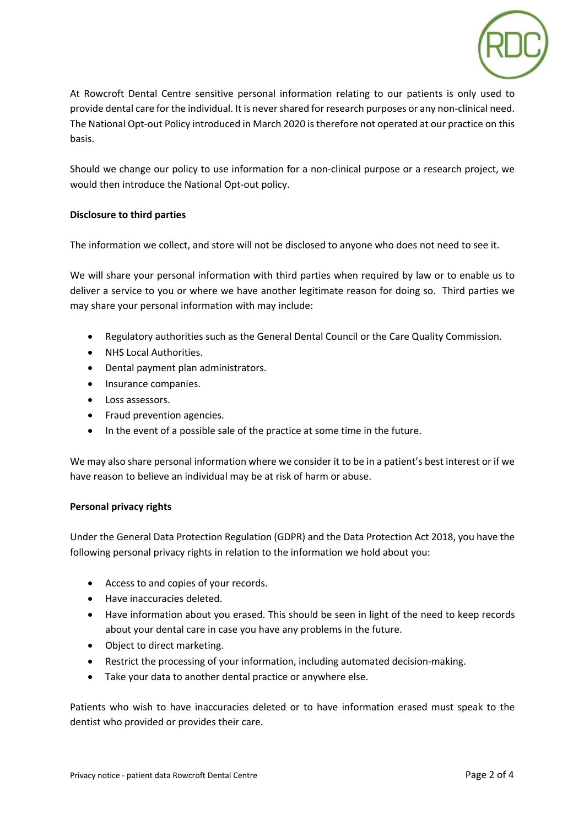

At Rowcroft Dental Centre sensitive personal information relating to our patients is only used to provide dental care for the individual. It is never shared for research purposes or any non-clinical need. The National Opt-out Policy introduced in March 2020 is therefore not operated at our practice on this basis.

Should we change our policy to use information for a non-clinical purpose or a research project, we would then introduce the National Opt-out policy.

## **Disclosure to third parties**

The information we collect, and store will not be disclosed to anyone who does not need to see it.

We will share your personal information with third parties when required by law or to enable us to deliver a service to you or where we have another legitimate reason for doing so. Third parties we may share your personal information with may include:

- Regulatory authorities such as the General Dental Council or the Care Quality Commission.
- NHS Local Authorities.
- Dental payment plan administrators.
- Insurance companies.
- Loss assessors.
- Fraud prevention agencies.
- In the event of a possible sale of the practice at some time in the future.

We may also share personal information where we consider it to be in a patient's best interest or if we have reason to believe an individual may be at risk of harm or abuse.

### **Personal privacy rights**

Under the General Data Protection Regulation (GDPR) and the Data Protection Act 2018, you have the following personal privacy rights in relation to the information we hold about you:

- Access to and copies of your records.
- Have inaccuracies deleted.
- Have information about you erased. This should be seen in light of the need to keep records about your dental care in case you have any problems in the future.
- Object to direct marketing.
- Restrict the processing of your information, including automated decision-making.
- Take your data to another dental practice or anywhere else.

Patients who wish to have inaccuracies deleted or to have information erased must speak to the dentist who provided or provides their care.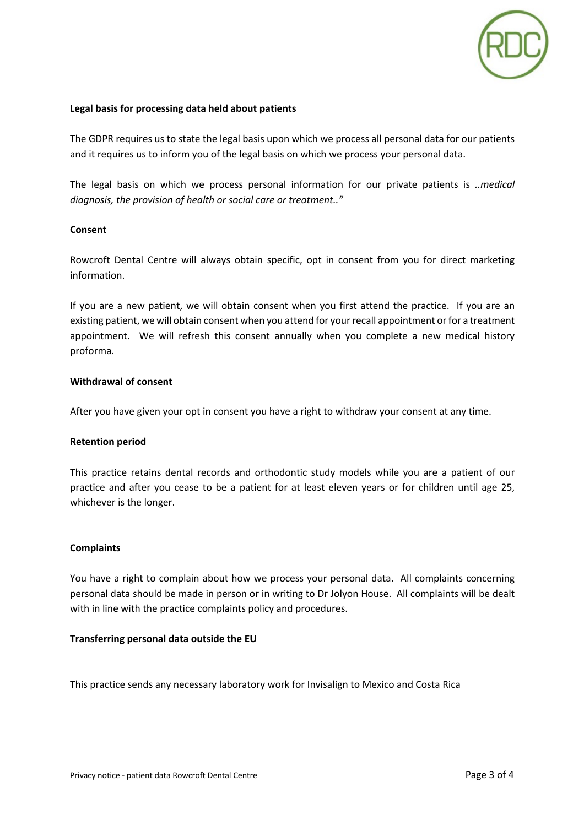

### **Legal basis for processing data held about patients**

The GDPR requires us to state the legal basis upon which we process all personal data for our patients and it requires us to inform you of the legal basis on which we process your personal data.

The legal basis on which we process personal information for our private patients is *..medical diagnosis, the provision of health or social care or treatment.."*

### **Consent**

Rowcroft Dental Centre will always obtain specific, opt in consent from you for direct marketing information.

If you are a new patient, we will obtain consent when you first attend the practice. If you are an existing patient, we will obtain consent when you attend for your recall appointment or for a treatment appointment. We will refresh this consent annually when you complete a new medical history proforma.

#### **Withdrawal of consent**

After you have given your opt in consent you have a right to withdraw your consent at any time.

### **Retention period**

This practice retains dental records and orthodontic study models while you are a patient of our practice and after you cease to be a patient for at least eleven years or for children until age 25, whichever is the longer.

### **Complaints**

You have a right to complain about how we process your personal data. All complaints concerning personal data should be made in person or in writing to Dr Jolyon House. All complaints will be dealt with in line with the practice complaints policy and procedures.

### **Transferring personal data outside the EU**

This practice sends any necessary laboratory work for Invisalign to Mexico and Costa Rica